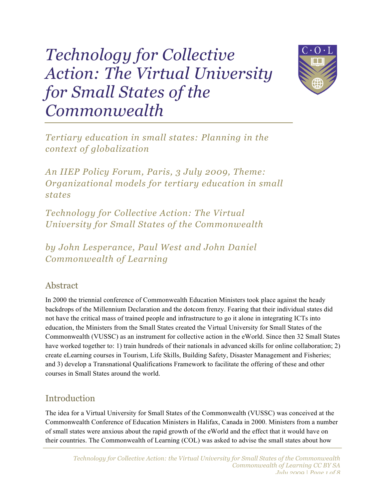# *Technology for Collective Action: The Virtual University for Small States of the Commonwealth*



*Tertiary education in small states: Planning in the context of globalization*

*An IIEP Policy Forum, Paris, 3 July 2009, Theme: Organizational models for tertiary education in small states*

*Technology for Collective Action: The Virtual University for Small States of the Commonwealth*

*by John Lesperance, Paul West and John Daniel Commonwealth of Learning*

#### Abstract

In 2000 the triennial conference of Commonwealth Education Ministers took place against the heady backdrops of the Millennium Declaration and the dotcom frenzy. Fearing that their individual states did not have the critical mass of trained people and infrastructure to go it alone in integrating ICTs into education, the Ministers from the Small States created the Virtual University for Small States of the Commonwealth (VUSSC) as an instrument for collective action in the eWorld. Since then 32 Small States have worked together to: 1) train hundreds of their nationals in advanced skills for online collaboration; 2) create eLearning courses in Tourism, Life Skills, Building Safety, Disaster Management and Fisheries; and 3) develop a Transnational Qualifications Framework to facilitate the offering of these and other courses in Small States around the world.

## Introduction

The idea for a Virtual University for Small States of the Commonwealth (VUSSC) was conceived at the Commonwealth Conference of Education Ministers in Halifax, Canada in 2000. Ministers from a number of small states were anxious about the rapid growth of the eWorld and the effect that it would have on their countries. The Commonwealth of Learning (COL) was asked to advise the small states about how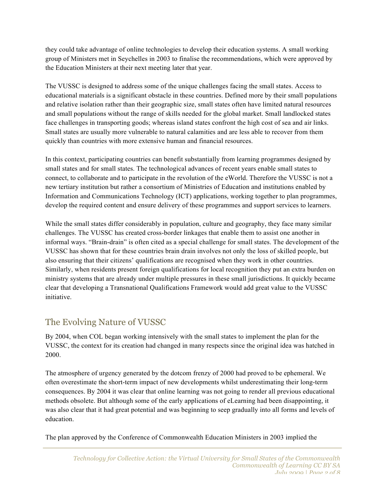they could take advantage of online technologies to develop their education systems. A small working group of Ministers met in Seychelles in 2003 to finalise the recommendations, which were approved by the Education Ministers at their next meeting later that year.

The VUSSC is designed to address some of the unique challenges facing the small states. Access to educational materials is a significant obstacle in these countries. Defined more by their small populations and relative isolation rather than their geographic size, small states often have limited natural resources and small populations without the range of skills needed for the global market. Small landlocked states face challenges in transporting goods; whereas island states confront the high cost of sea and air links. Small states are usually more vulnerable to natural calamities and are less able to recover from them quickly than countries with more extensive human and financial resources.

In this context, participating countries can benefit substantially from learning programmes designed by small states and for small states. The technological advances of recent years enable small states to connect, to collaborate and to participate in the revolution of the eWorld. Therefore the VUSSC is not a new tertiary institution but rather a consortium of Ministries of Education and institutions enabled by Information and Communications Technology (ICT) applications, working together to plan programmes, develop the required content and ensure delivery of these programmes and support services to learners.

While the small states differ considerably in population, culture and geography, they face many similar challenges. The VUSSC has created cross-border linkages that enable them to assist one another in informal ways. "Brain-drain" is often cited as a special challenge for small states. The development of the VUSSC has shown that for these countries brain drain involves not only the loss of skilled people, but also ensuring that their citizens' qualifications are recognised when they work in other countries. Similarly, when residents present foreign qualifications for local recognition they put an extra burden on ministry systems that are already under multiple pressures in these small jurisdictions. It quickly became clear that developing a Transnational Qualifications Framework would add great value to the VUSSC initiative.

## The Evolving Nature of VUSSC

By 2004, when COL began working intensively with the small states to implement the plan for the VUSSC, the context for its creation had changed in many respects since the original idea was hatched in 2000.

The atmosphere of urgency generated by the dotcom frenzy of 2000 had proved to be ephemeral. We often overestimate the short-term impact of new developments whilst underestimating their long-term consequences. By 2004 it was clear that online learning was not going to render all previous educational methods obsolete. But although some of the early applications of eLearning had been disappointing, it was also clear that it had great potential and was beginning to seep gradually into all forms and levels of education.

The plan approved by the Conference of Commonwealth Education Ministers in 2003 implied the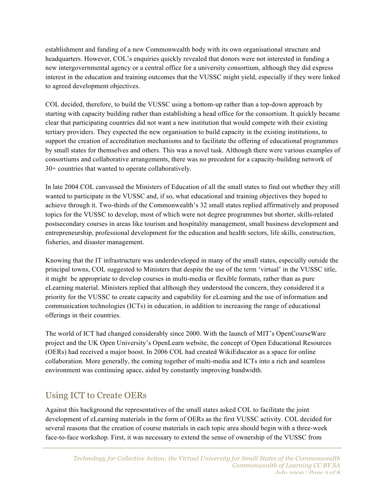establishment and funding of a new Commonwealth body with its own organisational structure and headquarters. However, COL's enquiries quickly revealed that donors were not interested in funding a new intergovernmental agency or a central office for a university consortium, although they did express interest in the education and training outcomes that the VUSSC might yield, especially if they were linked to agreed development objectives.

COL decided, therefore, to build the VUSSC using a bottom-up rather than a top-down approach by starting with capacity building rather than establishing a head office for the consortium. It quickly became clear that participating countries did not want a new institution that would compete with their existing tertiary providers. They expected the new organisation to build capacity in the existing institutions, to support the creation of accreditation mechanisms and to facilitate the offering of educational programmes by small states for themselves and others. This was a novel task. Although there were various examples of consortiums and collaborative arrangements, there was no precedent for a capacity-building network of 30+ countries that wanted to operate collaboratively.

In late 2004 COL canvassed the Ministers of Education of all the small states to find out whether they still wanted to participate in the VUSSC and, if so, what educational and training objectives they hoped to achieve through it. Two-thirds of the Commonwealth's 32 small states replied affirmatively and proposed topics for the VUSSC to develop, most of which were not degree programmes but shorter, skills-related postsecondary courses in areas like tourism and hospitality management, small business development and entrepreneurship, professional development for the education and health sectors, life skills, construction, fisheries, and disaster management.

Knowing that the IT infrastructure was underdeveloped in many of the small states, especially outside the principal towns, COL suggested to Ministers that despite the use of the term 'virtual' in the VUSSC title, it might be appropriate to develop courses in multi-media or flexible formats, rather than as pure eLearning material. Ministers replied that although they understood the concern, they considered it a priority for the VUSSC to create capacity and capability for eLearning and the use of information and communication technologies (ICTs) in education, in addition to increasing the range of educational offerings in their countries.

The world of ICT had changed considerably since 2000. With the launch of MIT's OpenCourseWare project and the UK Open University's OpenLearn website, the concept of Open Educational Resources (OERs) had received a major boost. In 2006 COL had created WikiEducator as a space for online collaboration. More generally, the coming together of multi-media and ICTs into a rich and seamless environment was continuing apace, aided by constantly improving bandwidth.

# Using ICT to Create OERs

Against this background the representatives of the small states asked COL to facilitate the joint development of eLearning materials in the form of OERs as the first VUSSC activity. COL decided for several reasons that the creation of course materials in each topic area should begin with a three-week face-to-face workshop. First, it was necessary to extend the sense of ownership of the VUSSC from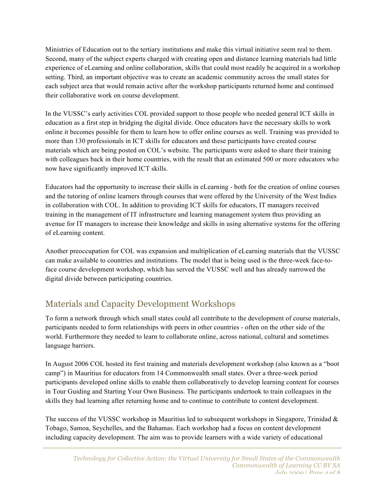Ministries of Education out to the tertiary institutions and make this virtual initiative seem real to them. Second, many of the subject experts charged with creating open and distance learning materials had little experience of eLearning and online collaboration, skills that could most readily be acquired in a workshop setting. Third, an important objective was to create an academic community across the small states for each subject area that would remain active after the workshop participants returned home and continued their collaborative work on course development.

In the VUSSC's early activities COL provided support to those people who needed general ICT skills in education as a first step in bridging the digital divide. Once educators have the necessary skills to work online it becomes possible for them to learn how to offer online courses as well. Training was provided to more than 130 professionals in ICT skills for educators and these participants have created course materials which are being posted on COL's website. The participants were asked to share their training with colleagues back in their home countries, with the result that an estimated 500 or more educators who now have significantly improved ICT skills.

Educators had the opportunity to increase their skills in eLearning - both for the creation of online courses and the tutoring of online learners through courses that were offered by the University of the West Indies in collaboration with COL. In addition to providing ICT skills for educators, IT managers received training in the management of IT infrastructure and learning management system thus providing an avenue for IT managers to increase their knowledge and skills in using alternative systems for the offering of eLearning content.

Another preoccupation for COL was expansion and multiplication of eLearning materials that the VUSSC can make available to countries and institutions. The model that is being used is the three-week face-toface course development workshop, which has served the VUSSC well and has already narrowed the digital divide between participating countries.

# Materials and Capacity Development Workshops

To form a network through which small states could all contribute to the development of course materials, participants needed to form relationships with peers in other countries - often on the other side of the world. Furthermore they needed to learn to collaborate online, across national, cultural and sometimes language barriers.

In August 2006 COL hosted its first training and materials development workshop (also known as a "boot camp") in Mauritius for educators from 14 Commonwealth small states. Over a three-week period participants developed online skills to enable them collaboratively to develop learning content for courses in Tour Guiding and Starting Your Own Business. The participants undertook to train colleagues in the skills they had learning after returning home and to continue to contribute to content development.

The success of the VUSSC workshop in Mauritius led to subsequent workshops in Singapore, Trinidad  $\&$ Tobago, Samoa, Seychelles, and the Bahamas. Each workshop had a focus on content development including capacity development. The aim was to provide learners with a wide variety of educational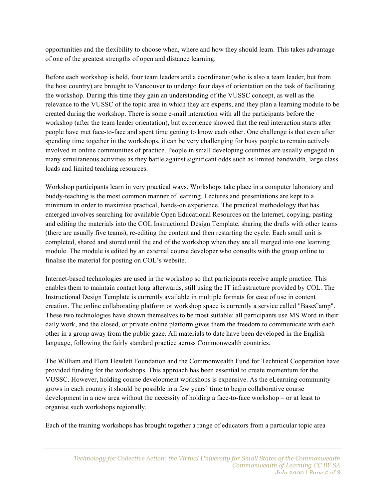opportunities and the flexibility to choose when, where and how they should learn. This takes advantage of one of the greatest strengths of open and distance learning.

Before each workshop is held, four team leaders and a coordinator (who is also a team leader, but from the host country) are brought to Vancouver to undergo four days of orientation on the task of facilitating the workshop. During this time they gain an understanding of the VUSSC concept, as well as the relevance to the VUSSC of the topic area in which they are experts, and they plan a learning module to be created during the workshop. There is some e-mail interaction with all the participants before the workshop (after the team leader orientation), but experience showed that the real interaction starts after people have met face-to-face and spent time getting to know each other. One challenge is that even after spending time together in the workshops, it can be very challenging for busy people to remain actively involved in online communities of practice. People in small developing countries are usually engaged in many simultaneous activities as they battle against significant odds such as limited bandwidth, large class loads and limited teaching resources.

Workshop participants learn in very practical ways. Workshops take place in a computer laboratory and buddy-teaching is the most common manner of learning. Lectures and presentations are kept to a minimum in order to maximise practical, hands-on experience. The practical methodology that has emerged involves searching for available Open Educational Resources on the Internet, copying, pasting and editing the materials into the COL Instructional Design Template, sharing the drafts with other teams (there are usually five teams), re-editing the content and then restarting the cycle. Each small unit is completed, shared and stored until the end of the workshop when they are all merged into one learning module. The module is edited by an external course developer who consults with the group online to finalise the material for posting on COL's website.

Internet-based technologies are used in the workshop so that participants receive ample practice. This enables them to maintain contact long afterwards, still using the IT infrastructure provided by COL. The Instructional Design Template is currently available in multiple formats for ease of use in content creation. The online collaborating platform or workshop space is currently a service called "BaseCamp". These two technologies have shown themselves to be most suitable: all participants use MS Word in their daily work, and the closed, or private online platform gives them the freedom to communicate with each other in a group away from the public gaze. All materials to date have been developed in the English language, following the fairly standard practice across Commonwealth countries.

The William and Flora Hewlett Foundation and the Commonwealth Fund for Technical Cooperation have provided funding for the workshops. This approach has been essential to create momentum for the VUSSC. However, holding course development workshops is expensive. As the eLearning community grows in each country it should be possible in a few years' time to begin collaborative course development in a new area without the necessity of holding a face-to-face workshop – or at least to organise such workshops regionally.

Each of the training workshops has brought together a range of educators from a particular topic area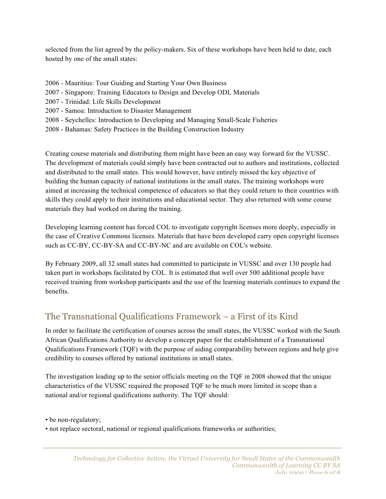selected from the list agreed by the policy-makers. Six of these workshops have been held to date, each hosted by one of the small states:

- 2006 Mauritius: Tour Guiding and Starting Your Own Business
- 2007 Singapore: Training Educators to Design and Develop ODL Materials
- 2007 Trinidad: Life Skills Development
- 2007 Samoa: Introduction to Disaster Management
- 2008 Seychelles: Introduction to Developing and Managing Small-Scale Fisheries
- 2008 Bahamas: Safety Practices in the Building Construction Industry

Creating course materials and distributing them might have been an easy way forward for the VUSSC. The development of materials could simply have been contracted out to authors and institutions, collected and distributed to the small states. This would however, have entirely missed the key objective of building the human capacity of national institutions in the small states. The training workshops were aimed at increasing the technical competence of educators so that they could return to their countries with skills they could apply to their institutions and educational sector. They also returned with some course materials they had worked on during the training.

Developing learning content has forced COL to investigate copyright licenses more deeply, especially in the case of Creative Commons licenses. Materials that have been developed carry open copyright licenses such as CC-BY, CC-BY-SA and CC-BY-NC and are available on COL's website.

By February 2009, all 32 small states had committed to participate in VUSSC and over 130 people had taken part in workshops facilitated by COL. It is estimated that well over 500 additional people have received training from workshop participants and the use of the learning materials continues to expand the benefits.

## The Transnational Qualifications Framework – a First of its Kind

In order to facilitate the certification of courses across the small states, the VUSSC worked with the South African Qualifications Authority to develop a concept paper for the establishment of a Transnational Qualifications Framework (TQF) with the purpose of aiding comparability between regions and help give credibility to courses offered by national institutions in small states.

The investigation leading up to the senior officials meeting on the TQF in 2008 showed that the unique characteristics of the VUSSC required the proposed TQF to be much more limited in scope than a national and/or regional qualifications authority. The TQF should:

• be non-regulatory;

• not replace sectoral, national or regional qualifications frameworks or authorities;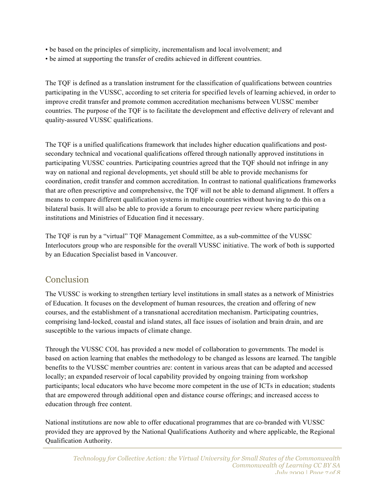- be based on the principles of simplicity, incrementalism and local involvement; and
- be aimed at supporting the transfer of credits achieved in different countries.

The TQF is defined as a translation instrument for the classification of qualifications between countries participating in the VUSSC, according to set criteria for specified levels of learning achieved, in order to improve credit transfer and promote common accreditation mechanisms between VUSSC member countries. The purpose of the TQF is to facilitate the development and effective delivery of relevant and quality-assured VUSSC qualifications.

The TQF is a unified qualifications framework that includes higher education qualifications and postsecondary technical and vocational qualifications offered through nationally approved institutions in participating VUSSC countries. Participating countries agreed that the TQF should not infringe in any way on national and regional developments, yet should still be able to provide mechanisms for coordination, credit transfer and common accreditation. In contrast to national qualifications frameworks that are often prescriptive and comprehensive, the TQF will not be able to demand alignment. It offers a means to compare different qualification systems in multiple countries without having to do this on a bilateral basis. It will also be able to provide a forum to encourage peer review where participating institutions and Ministries of Education find it necessary.

The TQF is run by a "virtual" TQF Management Committee, as a sub-committee of the VUSSC Interlocutors group who are responsible for the overall VUSSC initiative. The work of both is supported by an Education Specialist based in Vancouver.

### Conclusion

The VUSSC is working to strengthen tertiary level institutions in small states as a network of Ministries of Education. It focuses on the development of human resources, the creation and offering of new courses, and the establishment of a transnational accreditation mechanism. Participating countries, comprising land-locked, coastal and island states, all face issues of isolation and brain drain, and are susceptible to the various impacts of climate change.

Through the VUSSC COL has provided a new model of collaboration to governments. The model is based on action learning that enables the methodology to be changed as lessons are learned. The tangible benefits to the VUSSC member countries are: content in various areas that can be adapted and accessed locally; an expanded reservoir of local capability provided by ongoing training from workshop participants; local educators who have become more competent in the use of ICTs in education; students that are empowered through additional open and distance course offerings; and increased access to education through free content.

National institutions are now able to offer educational programmes that are co-branded with VUSSC provided they are approved by the National Qualifications Authority and where applicable, the Regional Qualification Authority.